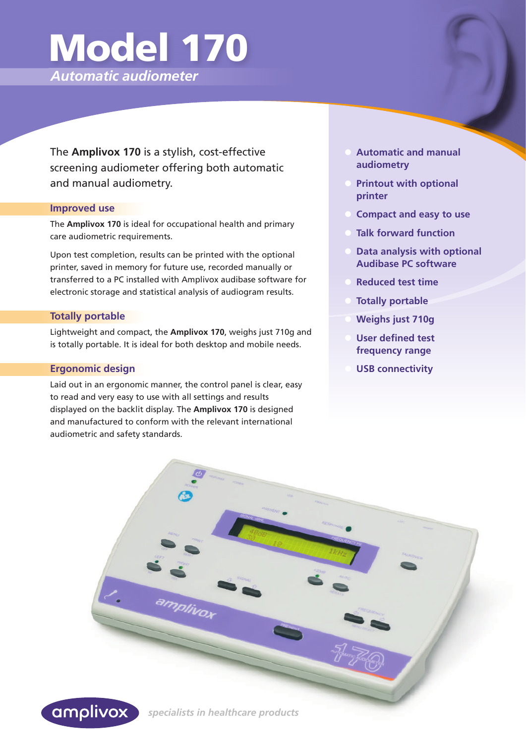# Model 170

*Automatic audiometer*

The **Amplivox 170** is a stylish, cost-effective screening audiometer offering both automatic and manual audiometry.

#### **Improved use**

The **Amplivox 170** is ideal for occupational health and primary care audiometric requirements.

Upon test completion, results can be printed with the optional printer, saved in memory for future use, recorded manually or transferred to a PC installed with Amplivox audibase software for electronic storage and statistical analysis of audiogram results.

# **Totally portable**

Lightweight and compact, the **Amplivox 170**, weighs just 710g and is totally portable. It is ideal for both desktop and mobile needs.

# **Ergonomic design**

Laid out in an ergonomic manner, the control panel is clear, easy to read and very easy to use with all settings and results displayed on the backlit display. The **Amplivox 170** is designed and manufactured to conform with the relevant international audiometric and safety standards.

- **Automatic and manual audiometry**
- **Printout with optional printer**
- **Compact and easy to use**
- **Talk forward function**
- **Data analysis with optional Audibase PC software**
- **Reduced test time**
- **Totally portable**
- **Weighs just 710g**
- **User defined test frequency range**
- **USB connectivity**